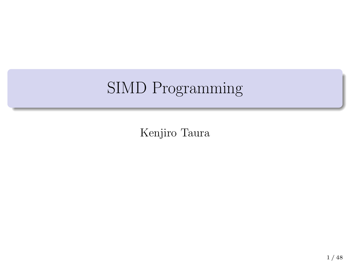# SIMD Programming

Kenjiro Taura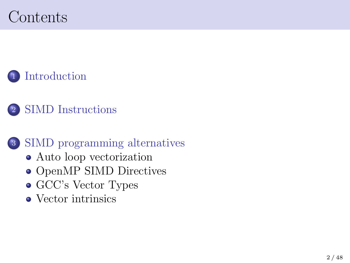# Contents

<sup>1</sup> Introduction

<sup>2</sup> SIMD Instructions

### <sup>3</sup> SIMD programming alternatives

- Auto loop vectorization
- $\bullet$  OpenMP SIMD Directives
- GCC's Vector Types
- Vector intrinsics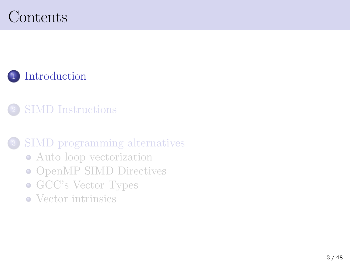# Contents

### <sup>1</sup> Introduction

#### <sup>2</sup> SIMD Instructions

### <sup>3</sup> SIMD programming alternatives

- Auto loop vectorization
- OpenMP SIMD Directives
- GCC's Vector Types
- Vector intrinsics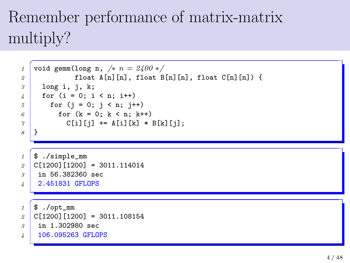# Remember performance of matrix-matrix multiply?

```
✞
1 void gemm(long n, /∗ n = 2400 ∗/
2 float A[n][n], float B[n][n], float C[n][n]) {
3 long i, j, k;
4 for (i = 0; i < n; i++)5 for (j = 0; j < n; j++)6 \mid for (k = 0; k < n; k++)7 C[i][j] += A[i][k] * B[k][j];
8 }
✞
1 $ ./simple_mm
2 C[1200][1200] = 3011.114014
3 in 56.382360 sec
4 2.451831 GFLOPS
  \overline{C}1 $ ./opt_mm
2 C[1200][1200] = 3011.108154
3 in 1.302980 sec
4 106.095263 GFLOPS
```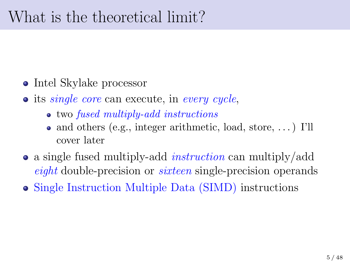### What is the theoretical limit?

- Intel Skylake processor
- its *single core* can execute, in *every cycle*,
	- two *fused multiply-add instructions*
	- and others (e.g., integer arithmetic, load, store, ...) I'll cover later
- a single fused multiply-add *instruction* can multiply/add *eight* double-precision or *sixteen* single-precision operands
- Single Instruction Multiple Data (SIMD) instructions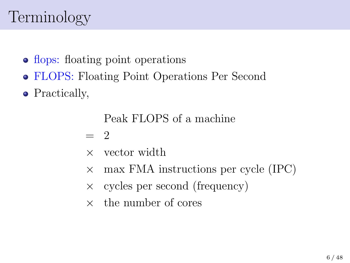# Terminology

- flops: floating point operations
- FLOPS: Floating Point Operations Per Second
- Practically,

Peak FLOPS of a machine

 $= 2$ 

- *×* vector width
- *×* max FMA instructions per cycle (IPC)
- *×* cycles per second (frequency)
- *×* the number of cores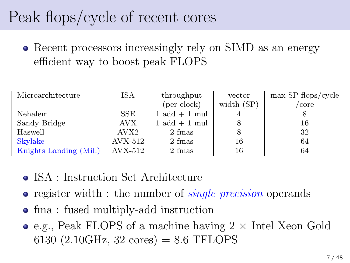# Peak flops/cycle of recent cores

• Recent processors increasingly rely on SIMD as an energy efficient way to boost peak FLOPS

| Microarchitecture      | ISA       | throughput                       | vector       | $\max$ SP flops/cycle |
|------------------------|-----------|----------------------------------|--------------|-----------------------|
|                        |           | (per clock)                      | width $(SP)$ | core                  |
| Nehalem                | SSE       | $1 \text{ add } + 1 \text{ mul}$ |              |                       |
| Sandy Bridge           | AVX.      | $1 \text{ add } + 1 \text{ mul}$ |              | 16                    |
| Haswell                | AVX2      | 2 fmas                           |              | 32                    |
| Skylake                | $AVX-512$ | 2 fmas                           | 16           | 64                    |
| Knights Landing (Mill) | AVX-512   | 2 fmas                           | 16           | 64                    |

- ISA : Instruction Set Architecture
- register width : the number of *single precision* operands
- fma : fused multiply-add instruction
- e.g., Peak FLOPS of a machine having 2 *×* Intel Xeon Gold 6130 (2.10GHz, 32 cores) =  $8.6$  TFLOPS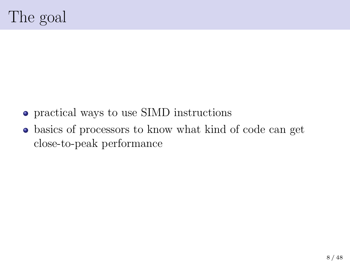- practical ways to use SIMD instructions
- basics of processors to know what kind of code can get close-to-peak performance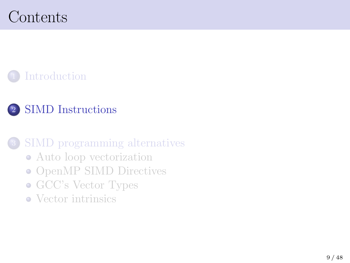# Contents

### <sup>1</sup> Introduction

### <sup>2</sup> SIMD Instructions

### <sup>3</sup> SIMD programming alternatives

- Auto loop vectorization
- OpenMP SIMD Directives
- GCC's Vector Types
- Vector intrinsics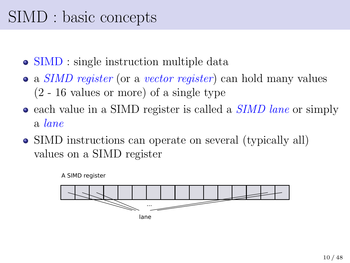## SIMD : basic concepts

- SIMD : single instruction multiple data
- a *SIMD register* (or a *vector register*) can hold many values (2 - 16 values or more) of a single type
- each value in a SIMD register is called a *SIMD lane* or simply a *lane*
- SIMD instructions can operate on several (typically all) values on a SIMD register



A SIMD register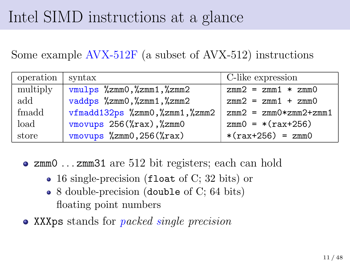## Intel SIMD instructions at a glance

Some example AVX-512F (a subset of AVX-512) instructions

| operation | syntax                                      | C-like expression       |  |
|-----------|---------------------------------------------|-------------------------|--|
| multiply  | vmulps %zmm0,%zmm1,%zmm2                    | $zmm2 = zmm1 * zmm0$    |  |
| $\rm add$ | vaddps %zmm0, %zmm1, %zmm2                  | $zmm2 = zmm1 + zmm0$    |  |
| fmadd     | $vfmadd132ps$ %zmm0, %zmm1, %zmm2           | $zmm2 = zmm0*zmm2+zmm1$ |  |
| load      | vmovups 256(%rax), %zmm0                    | $zmm0 = * (rax+256)$    |  |
| store     | $v$ movups $\frac{256}{x}$ mmo, 256 $v$ ax) | $*(rax+256) = zmm0$     |  |

- zmm0 . . . zmm31 are 512 bit registers; each can hold
	- 16 single-precision (float of C; 32 bits) or
	- 8 double-precision (double of C; 64 bits) floating point numbers
- XXXps stands for *packed single precision*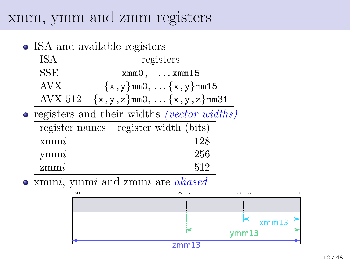### xmm, ymm and zmm registers

• ISA and available registers

| ISA        | registers                                   |  |  |  |
|------------|---------------------------------------------|--|--|--|
| SSE        | $xmm0$ , $xmm15$                            |  |  |  |
| <b>AVX</b> | ${x, y}$ mmO, ${x, y}$ mm15                 |  |  |  |
|            | $AVX-512$ $\{x,y,z\}$ mm0, $\{x,y,z\}$ mm31 |  |  |  |

registers and their widths *(vector widths)*

| register names | register width (bits) |
|----------------|-----------------------|
| xmm            | 128                   |
| vmmi           | 256                   |
| zmmi           | 512                   |

xmm*i*, ymm*i* and zmm*i* are *aliased*

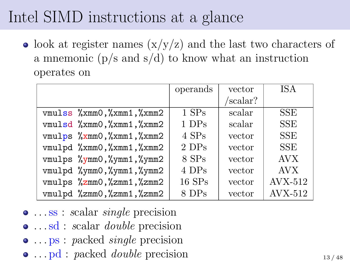## Intel SIMD instructions at a glance

• look at register names  $(x/y/z)$  and the last two characters of a mnemonic  $(p/s \text{ and } s/d)$  to know what an instruction operates on

|                                                                      | operands | vector  | ISA            |
|----------------------------------------------------------------------|----------|---------|----------------|
|                                                                      |          | scalar? |                |
| $v$ mulss $\frac{9}{2}x$ mm0, $\frac{9}{2}x$ mm1, $\frac{9}{2}x$ mm2 | $1$ SPs  | scalar  | <b>SSE</b>     |
| $v$ mulsd $\frac{9}{2}x$ mm0, $\frac{9}{2}x$ mm1, $\frac{9}{2}x$ mm2 | 1 DPs    | scalar  | <b>SSE</b>     |
| $vmu1ps$ %xmm0, %xmm1, %xmm2                                         | $4$ SPs  | vector  | <b>SSE</b>     |
| vmulpd %xmm0, %xmm1, %xmm2                                           | 2 DPs    | vector  | <b>SSE</b>     |
| vmulps %ymm0,%ymm1,%ymm2                                             | 8 SPs    | vector  | <b>AVX</b>     |
| vmulpd %ymm0,%ymm1,%ymm2                                             | 4 DPs    | vector  | <b>AVX</b>     |
| vmulps %zmm0,%zmm1,%zmm2                                             | $16$ SPs | vector  | <b>AVX-512</b> |
| vmulpd %zmm0,%zmm1,%zmm2                                             | 8 DPs    | vector  | <b>AVX-512</b> |

- . . .ss : *s*calar *single* precision . . .sd : *s*calar *double* precision
- . . . ps : *p*acked *single* precision
- ... pd : *p*acked *double* precision 13/48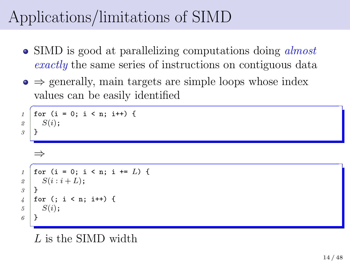# Applications/limitations of SIMD

- SIMD is good at parallelizing computations doing *almost exactly* the same series of instructions on contiguous data
- *⇒* generally, main targets are simple loops whose index values can be easily identified

```
1 for (i = 0; i < n; i++) {
2 S(i);
3 }
   ⇒✞
1 for (i = 0; i < n; i += L) {
2 \mid S(i : i + L);3 }
4 for (; i < n; i++) {
5 S(i);
6 }
```
#### *L* is the SIMD width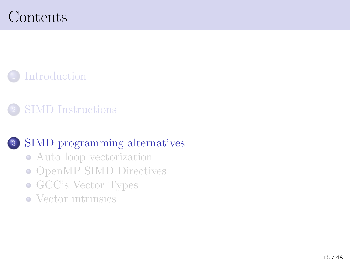# Contents

<sup>1</sup> Introduction

<sup>2</sup> SIMD Instructions

### <sup>3</sup> SIMD programming alternatives

- Auto loop vectorization
- OpenMP SIMD Directives
- GCC's Vector Types
- Vector intrinsics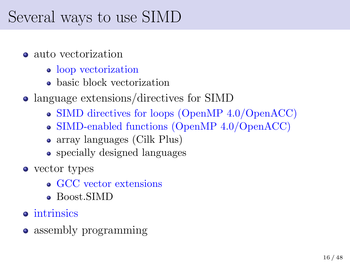## Several ways to use SIMD

- auto vectorization
	- loop vectorization
	- **basic block vectorization**
- language extensions/directives for SIMD
	- SIMD directives for loops (OpenMP 4.0/OpenACC)
	- SIMD-enabled functions (OpenMP 4.0/OpenACC)
	- array languages (Cilk Plus)
	- specially designed languages
- vector types
	- GCC vector extensions
	- **Boost SIMD**
- intrinsics
- assembly programming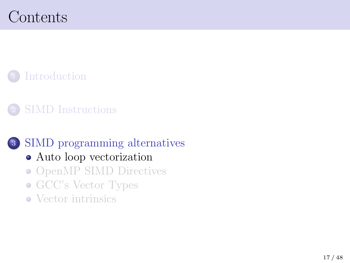# Contents

<sup>1</sup> Introduction

<sup>2</sup> SIMD Instructions

### <sup>3</sup> SIMD programming alternatives

- Auto loop vectorization
- OpenMP SIMD Directives
- GCC's Vector Types
- Vector intrinsics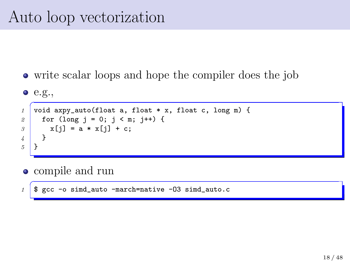## Auto loop vectorization

write scalar loops and hope the compiler does the job

\n- 0. e.g.,
\n- $$
\frac{1}{2}
$$
 void  $\frac{1}{\text{arg}\left(\frac{1}{\text{ord}}\right)}$  (float a, float \* x, float c, long m) {\n for (long j = 0; j < m; j++) {\n x[j] = a \* x[j] + c;\n }\n
\n- $\frac{1}{5}$
\n

- compile and run
- <sup>1</sup> \$ gcc -o simd\_auto -march=native -03 simd\_auto.c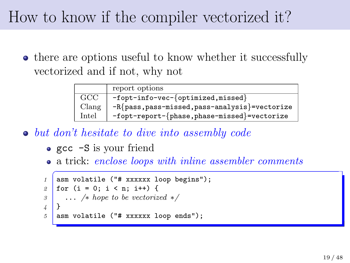## How to know if the compiler vectorized it?

• there are options useful to know whether it successfully vectorized and if not, why not

|              | report options                                  |
|--------------|-------------------------------------------------|
| $_{\rm GCC}$ | $-fopt-info-vec-\{optimized,missed\}$           |
| Clane        | $-R$ {pass,pass-missed,pass-analysis}=vectorize |
| Intel        | -fopt-report-{phase,phase-missed}=vectorize     |

- *but don't hesitate to dive into assembly code*
	- gcc -S is your friend
	- a trick: *enclose loops with inline assembler comments*

```
<sup>1</sup> asm volatile ("# xxxxxx loop begins");
2 \mid for (i = 0; i < n; i++) {
3 ... /∗ hope to be vectorized ∗/
4 }
   asm volatile ("# xxxxxx loop ends"):
```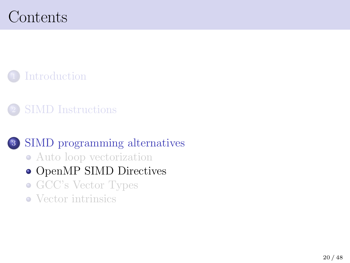# Contents

<sup>1</sup> Introduction

<sup>2</sup> SIMD Instructions

### <sup>3</sup> SIMD programming alternatives

- Auto loop vectorization
- $\bullet$  OpenMP SIMD Directives
- GCC's Vector Types
- Vector intrinsics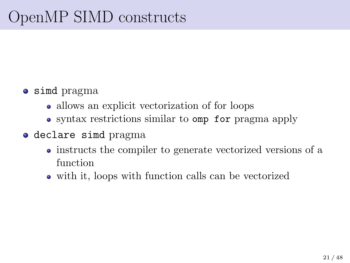- simd pragma
	- allows an explicit vectorization of for loops
	- syntax restrictions similar to omp for pragma apply
- declare simd pragma
	- instructs the compiler to generate vectorized versions of a function
	- with it, loops with function calls can be vectorized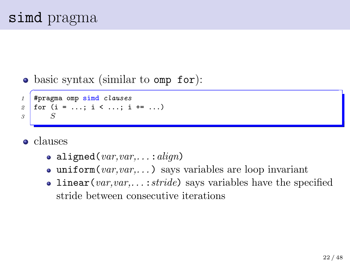#### • basic syntax (similar to omp for):

```
✞
1 #pragma omp simd clauses
2 \mid for (i = ...; i < ...; i + ...)3 S
```
- **o** clauses
	- aligned(*var,var,. . .* :*align*)
	- $\bullet$  uniform(*var,var,...*) says variables are loop invariant
	- linear(*var,var,...:stride*) says variables have the specified stride between consecutive iterations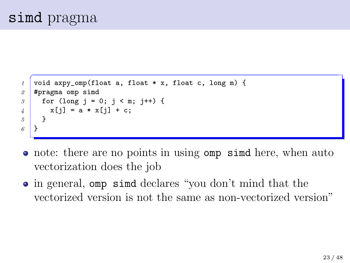```
✞
1 void axpy_omp(float a, float * x, float c, long m) {
2 #pragma omp simd
3 for (long j = 0; j < m; j++) {
4 \times x[i] = a * x[i] + c;5 }
6 }
```
- note: there are no points in using omp simd here, when auto vectorization does the job
- in general, omp simd declares "you don't mind that the vectorized version is not the same as non-vectorized version"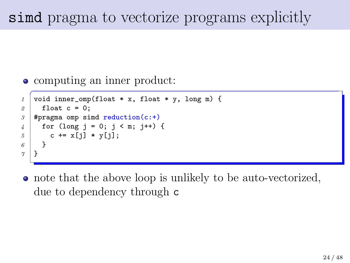### simd pragma to vectorize programs explicitly

```
computing an inner product:
```

```
\frac{1}{\sqrt{1 + \left(\frac{1}{1 + \frac{1}{1 + \frac{1}{1 + \frac{1}{1 + \frac{1}{1 + \frac{1}{1 + \frac{1}{1 + \frac{1}{1 + \frac{1}{1 + \frac{1}{1 + \frac{1}{1 + \frac{1}{1 + \frac{1}{1 + \frac{1}{1 + \frac{1}{1 + \frac{1}{1 + \frac{1}{1 + \frac{1}{1 + \frac{1}{1 + \frac{1}{1 + \frac{1}{1 + \frac{1}{1 + \frac{1}{1 + \frac{1}{1 + \frac{1}{1 + \frac{1}{1 + \frac{1}{1 + \frac{1}{1 + \frac{1}{1 + \frac{1}{2 float c = 0;
3 #pragma omp simd reduction(c:+)
4 for (long j = 0; j < m; j++) {
5 c += x[i] * y[i];6 }
7 }
```
note that the above loop is unlikely to be auto-vectorized, due to dependency through c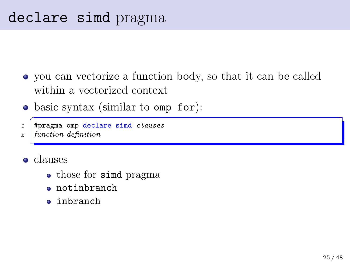- you can vectorize a function body, so that it can be called within a vectorized context
- basic syntax (similar to omp for):
- ✞ *1* #pragma omp declare simd *clauses*
- *2 function definition*
- **o** clauses
	- those for simd pragma
	- notinbranch
	- inbranch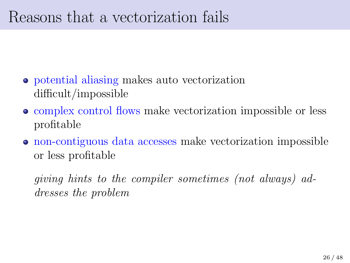### Reasons that a vectorization fails

- potential aliasing makes auto vectorization difficult/impossible
- complex control flows make vectorization impossible or less profitable
- non-contiguous data accesses make vectorization impossible or less profitable

*giving hints to the compiler sometimes (not always) addresses the problem*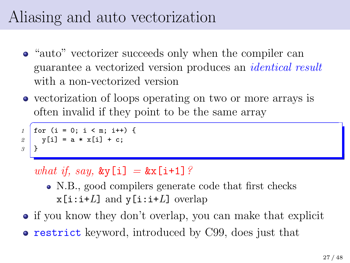# Aliasing and auto vectorization

- "auto" vectorizer succeeds only when the compiler can guarantee a vectorized version produces an *identical result* with a non-vectorized version
- vectorization of loops operating on two or more arrays is often invalid if they point to be the same array

```
1 for (i = 0; i < m; i++) {
2 \mid y[i] = a * x[i] + c;3 }
```
#### *what if, say,*  $\&y[i] = \&x[i+1]$ *?*

- N.B., good compilers generate code that first checks  $x[i:i+L]$  and  $y[i:i+L]$  overlap
- if you know they don't overlap, you can make that explicit
- **restrict** keyword, introduced by C99, does just that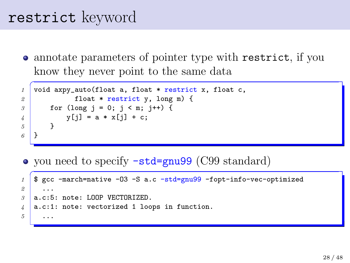### restrict keyword

annotate parameters of pointer type with restrict, if you know they never point to the same data

```
✞
1 void axpy_auto(float a, float * restrict x, float c,
2 float * restrict y, long m) {
3 for (long j = 0; j < m; j++) {
4 y[i] = a * x[i] + c;5 }
6 }
```
• you need to specify  $-std=gnu99$  (C99 standard)

```
\overline{C}1 $ gcc -march=native -O3 -S a.c -std=gnu99 -fopt-info-vec-optimized
2 ...
3 a.c:5: note: LOOP VECTORIZED.
4 a.c:1: note: vectorized 1 loops in function.
5 ...
```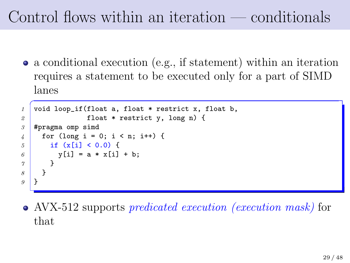# Control flows within an iteration — conditionals

a conditional execution (e.g., if statement) within an iteration requires a statement to be executed only for a part of SIMD lanes

```
✞
1 void loop_if(float a, float * restrict x, float b,
2 float * restrict y, long n) {
3 #pragma omp simd
4 for (long i = 0; i < n; i++) {
5 if (x[i] < 0.0) {
6 \mid y[i] = a * x[i] + b;7 }
8 }
9 }
```
AVX-512 supports *predicated execution (execution mask)* for that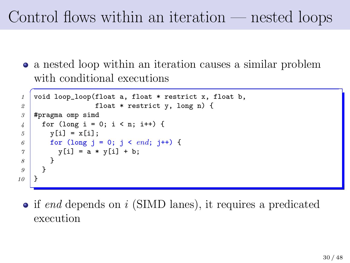# Control flows within an iteration — nested loops

a nested loop within an iteration causes a similar problem with conditional executions

```
<sup>1</sup> void loop_loop(float a, float * restrict x, float b,
2 float * restrict y, long n) {
3 #pragma omp simd
4 for (long i = 0; i < n; i++) {
5 y[i] = x[i];
6 \mid for (long j = 0; j < end; j++) {
7 \mid y[i] = a * y[i] + b;8 }
9 }
10 }
```
• if *end* depends on *i* (SIMD lanes), it requires a predicated execution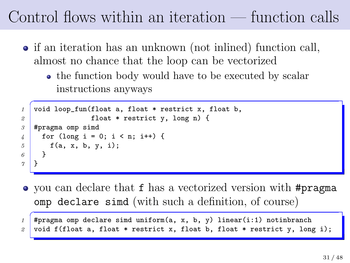# Control flows within an iteration — function calls

- if an iteration has an unknown (not inlined) function call, almost no chance that the loop can be vectorized
	- the function body would have to be executed by scalar instructions anyways

```
✞
1 void loop_fun(float a, float * restrict x, float b,
2 float * restrict y, long n) {
3 #pragma omp simd
4 \mid for (long i = 0; i < n; i++) {
5 f(a, x, b, y, i);
6 }
7 }
```
you can declare that f has a vectorized version with #pragma omp declare simd (with such a definition, of course)

```
\overline{C}1 #pragma omp declare simd uniform(a, x, b, y) linear(i:1) notinbranch
2 void f(float a, float * restrict x, float b, float * restrict y, long i);
```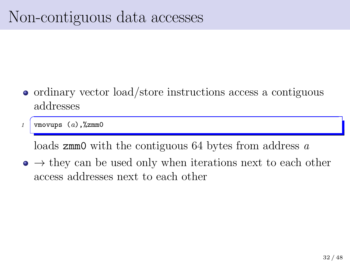## Non-contiguous data accesses

• ordinary vector load/store instructions access a contiguous addresses

✞ *1* vmovups (*a*),%zmm0

loads zmm0 with the contiguous 64 bytes from address *a*

*→* they can be used only when iterations next to each other access addresses next to each other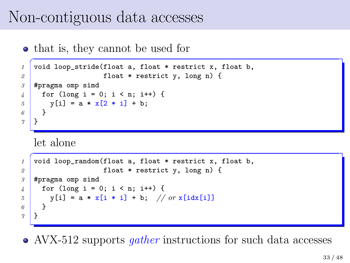### Non-contiguous data accesses

• that is, they cannot be used for

```
✞
1 void loop_stride(float a, float * restrict x, float b,
2 float * restrict y, long n) {
3 #pragma omp simd
4 \mid for (long i = 0; i < n; i++) {
5 y[i] = a * x[2 * i] + b;
6 }
7 }
```
let alone

```
\overline{a}1 void loop_random(float a, float * restrict x, float b,
2 float * restrict y, long n) {
3 #pragma omp simd
4 for (long i = 0; i < n; i++) {
5 | y[i] = a * x[i * i] + b; // or x[idx[i]]
6 }
7 }
```
AVX-512 supports *gather* instructions for such data accesses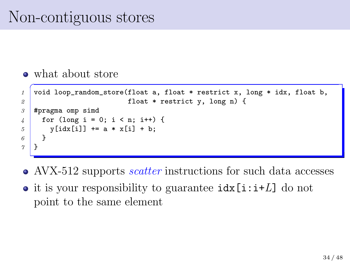## Non-contiguous stores

what about store

```
<sup>1</sup> void loop_random_store(float a, float * restrict x, long * idx, float b,
2 float * restrict y, long n) {
3 #pragma omp simd
4 \mid for (long i = 0; i < n; i++) {
5 y[idx[i]] += a * x[i] + b;
6 }
7 }
```
- AVX-512 supports *scatter* instructions for such data accesses
- it is your responsibility to guarantee idx[i:i+*L*] do not point to the same element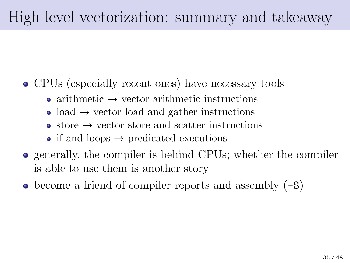# High level vectorization: summary and takeaway

- CPUs (especially recent ones) have necessary tools
	- arithmetic *→* vector arithmetic instructions
	- load *→* vector load and gather instructions
	- store *→* vector store and scatter instructions
	- if and loops  $→$  predicated executions
- generally, the compiler is behind CPUs; whether the compiler is able to use them is another story
- $\bullet$  become a friend of compiler reports and assembly  $(-s)$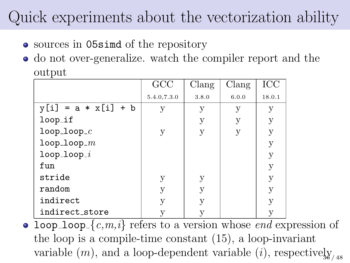## Quick experiments about the vectorization ability

- sources in 05simd of the repository
- do not over-generalize. watch the compiler report and the output

|                       | GCC         | Clang | Clang | ICC    |
|-----------------------|-------------|-------|-------|--------|
|                       | 5.4.0,7.3.0 | 3.8.0 | 6.0.0 | 18.0.1 |
| $y[i] = a * x[i] + b$ | V           | у     | у     | у      |
| $loop_i$              |             | у     | у     | у      |
| $loop\_loop\_c$       | у           | V     | у     | у      |
| $loop\_loop\_m$       |             |       |       | у      |
| $loop\_loop\_i$       |             |       |       | у      |
| fun                   |             |       |       | у      |
| stride                | у           | у     |       | у      |
| random                | у           | у     |       | у      |
| indirect              | у           | V     |       | у      |
| indirect_store        |             |       |       | у      |

• loop loop  ${c,m,i}$  refers to a version whose *end* expression of the loop is a compile-time constant (15), a loop-invariant variable  $(m)$ , and a loop-dependent variable  $(i)$ , respectively<sub>*is*</sub>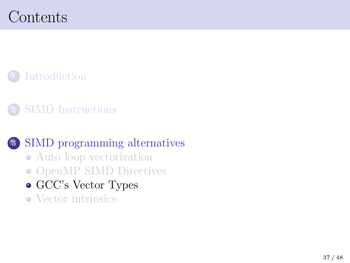# Contents

<sup>1</sup> Introduction

<sup>2</sup> SIMD Instructions

### <sup>3</sup> SIMD programming alternatives

- Auto loop vectorization
- OpenMP SIMD Directives
- $\bullet$  GCC's Vector Types
- Vector intrinsics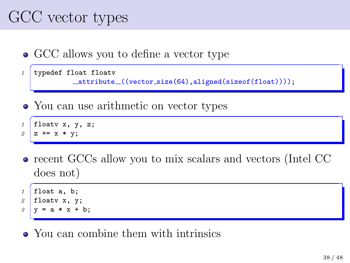# GCC vector types

• GCC allows you to define a vector type

```
<sup>1</sup> typedef float floatv
              __attribute_((vector_size(64),aligned(sizeof(float))));
```
• You can use arithmetic on vector types

```
✞
1 floatv x, y, z;
2 \, | \, z \, + = x \, * \, y
```
recent GCCs allow you to mix scalars and vectors (Intel CC does not)

```
1 float a, b;
2 floatv x, y;
3 \mid y = a * x + b;
```
• You can combine them with intrinsics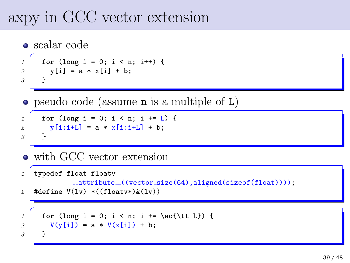## axpy in GCC vector extension

 $\bullet$  scalar code

```
1 for (long i = 0; i < n; i++) {
2 \times \text{v[i]} = a \times \text{x[i]} + b;
3 }
```
 $\bullet$  pseudo code (assume n is a multiple of L)

```
1 for (long i = 0; i < n; i += L) {
2 \mid y[i:i+L] = a * x[i:i+L] + b;
3 }
```
• with GCC vector extension

```
1 typedef float floatv
              {\mathcal L}attribute{\mathcal L}((vector\_size(64),aligned(sizeof(fload))));
2 \mid #define V(1v) * ((floatv*)&(1v))\overline{C}1 for (long i = 0; i < n; i += \ao{\tt L}) {
2 V(y[i]) = a * V(x[i]) + b;3 }
```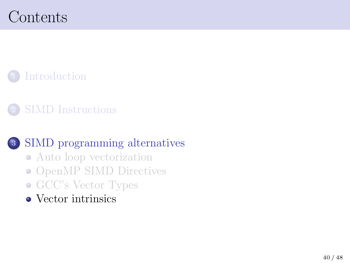# Contents

<sup>1</sup> Introduction

<sup>2</sup> SIMD Instructions

### <sup>3</sup> SIMD programming alternatives

- Auto loop vectorization
- OpenMP SIMD Directives
- GCC's Vector Types
- $\bullet$  Vector intrinsics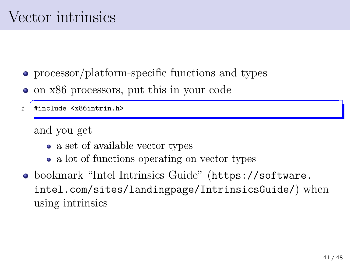# Vector intrinsics

- $\bullet$  processor/platform-specific functions and types
- on x86 processors, put this in your code

✞ *1* #include <x86intrin.h>

and you get

- $\bullet\,$  a set of available vector types
- a lot of functions operating on vector types
- bookmark "Intel Intrinsics Guide" (https://software. intel.com/sites/landingpage/IntrinsicsGuide/) when using intrinsics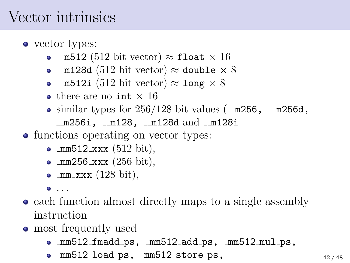### Vector intrinsics

- vector types:
	- m512 (512 bit vector) *≈* float *×* 16
	- m128d (512 bit vector) *≈* double *×* 8
	- m512i (512 bit vector) *≈* long *×* 8
	- there are no int *×* 16
	- $\bullet$  similar types for 256/128 bit values ( $\text{\textendash}$  m256,  $\text{\textendash}$  m256d,  $-m256i$ ,  $-m128$ ,  $-m128d$  and  $-m128i$
- functions operating on vector types:
	- $mm512$  xxx (512 bit),
	- $mm256$  xxx  $(256 \text{ bit})$ ,
	- $\bullet$  mm  $\overline{\text{xxx}}$  (128 bit),

 $\bullet$  ...

- each function almost directly maps to a single assembly instruction
- most frequently used
	- mm512 fmadd ps, mm512 add ps, mm512 mul ps,
	- mm512\_load\_ps, mm512\_store\_ps,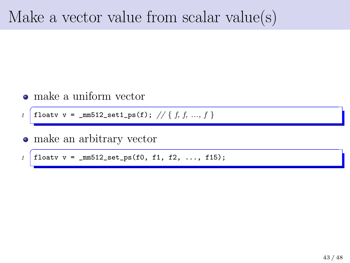### Make a vector value from scalar value(s)

make a uniform vector

*1*  $\boxed{\text{floatv v = _mm512_set1_ps(f); // { f, f, ..., f } } }$ 

make an arbitrary vector  $\bullet$ 

 $\int$  floatv v = \_mm512\_set\_ps(f0, f1, f2, ..., f15);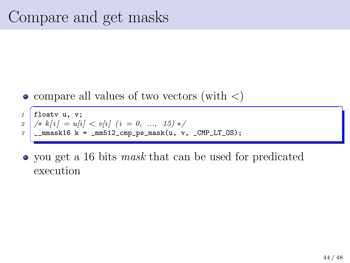compare all values of two vectors (with *<*)



you get a 16 bits *mask* that can be used for predicated execution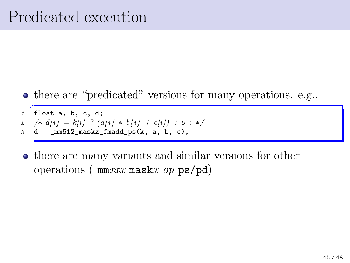- there are "predicated" versions for many operations. e.g.,
- ✞ *1* float a, b, c, d; *2*  $\big|$  /\* *d*[*i*] = *k*[*i*] ? (*a*[*i*] \* *b*[*i*] + *c*[*i*]) : 0 ; \*/  $\beta$   $d = \text{mm}512 \text{ maskz} \text{ -} \text{fmadd} \text{ -} \text{ps}(k, a, b, c);$
- there are many variants and similar versions for other operations ( mm*xxx* mask*x op* ps/pd)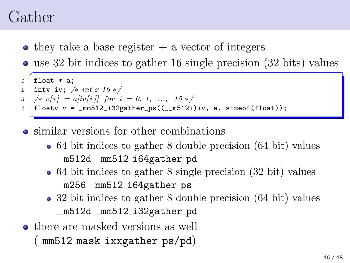### Gather

- $\bullet$  they take a base register  $+$  a vector of integers
- use 32 bit indices to gather 16 single precision (32 bits) values



- similar versions for other combinations
	- 64 bit indices to gather 8 double precision (64 bit) values m512d mm512 i64gather pd
	- 64 bit indices to gather 8 single precision (32 bit) values m256 mm512 i64gather ps
	- 32 bit indices to gather 8 double precision (64 bit) values m512d mm512 i32gather pd
- there are masked versions as well  $(\texttt{mm512\_mask\_ixxgather}\text{-ps}/pd)$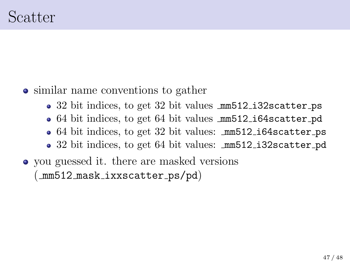- similar name conventions to gather
	- 32 bit indices, to get 32 bit values  $mm512$  i32scatter ps
	- 64 bit indices, to get 64 bit values  $mm512$  i64scatter pd
	- 64 bit indices, to get 32 bit values: mm512 i64scatter ps
	- 32 bit indices, to get 64 bit values: mm512 i32scatter pd
- you guessed it. there are masked versions (\_mm512\_mask\_ixxscatter\_ps/pd)